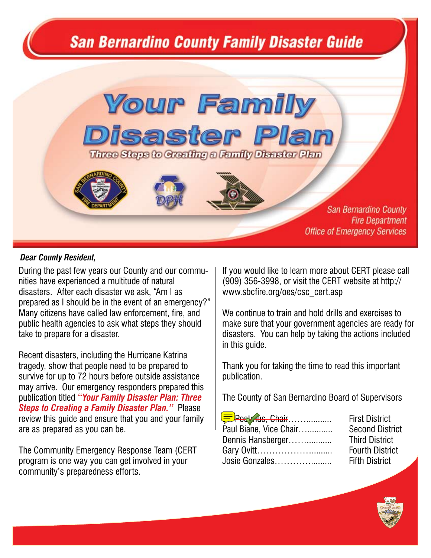# **San Bernardino County Family Disaster Guide**

# **Your Family Disaster Plan** Three Steps to Greating a Family Disaster Plan







**San Bernardino County Fire Department Office of Emergency Services**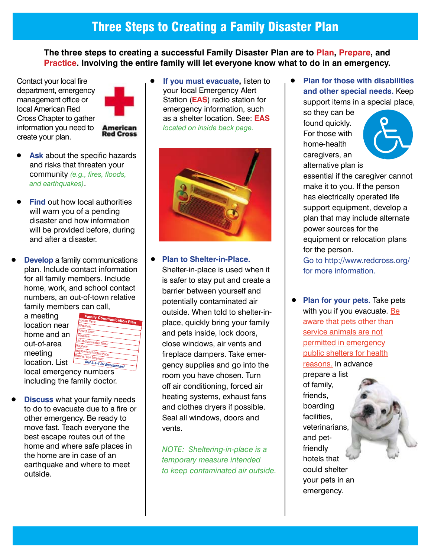**The three steps to creating a successful Family Disaster Plan are to Plan, Prepare, and Practice. Involving the entire family will let everyone know what to do in an emergency.** 

Contact your local fire department, emergency management office or local American Red Cross Chapter to gather information you need to create your plan.



**American Red Cross** 

- **Ask** about the specific hazards and risks that threaten your community *(e.g., fires, floods, and earthquakes)*.
- **Find** out how local authorities will warn you of a pending disaster and how information will be provided before, during and after a disaster.
- **Develop** a family communications plan. Include contact information for all family members. Include home, work, and school contact numbers, an out-of-town relative family members can call,

 a meeting location near home and an out-of-area meeting location. List



 local emergency numbers including the family doctor.

**Discuss** what your family needs to do to evacuate due to a fire or other emergency. Be ready to move fast. Teach everyone the best escape routes out of the home and where safe places in the home are in case of an earthquake and where to meet outside.

**If you must evacuate, listen to**  your local Emergency Alert Station (**EAS**) radio station for emergency information, such as a shelter location. See: **EAS** *located on inside back page.*



**• Plan to Shelter-in-Place.**  Shelter-in-place is used when it

 is safer to stay put and create a barrier between yourself and potentially contaminated air outside. When told to shelter-in- place, quickly bring your family and pets inside, lock doors, close windows, air vents and fireplace dampers. Take emer- gency supplies and go into the room you have chosen. Turn off air conditioning, forced air heating systems, exhaust fans and clothes dryers if possible. Seal all windows, doors and vents.

 *NOTE: Sheltering-in-place is a temporary measure intended to keep contaminated air outside.* **Plan for those with disabilities and other special needs.** Keep support items in a special place,

 so they can be found quickly. For those with home-health caregivers, an alternative plan is



 essential if the caregiver cannot make it to you. If the person has electrically operated life support equipment, develop a plan that may include alternate power sources for the equipment or relocation plans for the person. Go to http://www.redcross.org/ for more information.

**Plan for your pets. Take pets** with you if you evacuate. Be aware that pets other than service animals are not permitted in emergency public shelters for health reasons. In advance prepare a list of family,

 friends, boarding facilities, veterinarians, and pet- friendly hotels that could shelter your pets in an emergency.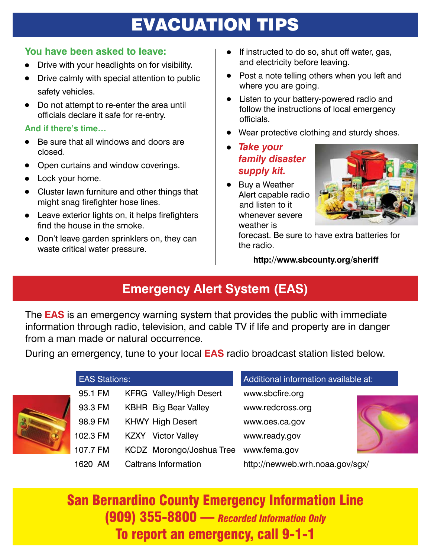# EVACUATION TIPS

### **You have been asked to leave:**

- Drive with your headlights on for visibility.
- Drive calmly with special attention to public safety vehicles.
- Do not attempt to re-enter the area until officials declare it safe for re-entry.

### **And if there's time…**

- Be sure that all windows and doors are closed.
- Open curtains and window coverings.
- $\bullet$  Lock your home.
- $\bullet$  Cluster lawn furniture and other things that might snag firefighter hose lines.
- $\bullet$  Leave exterior lights on, it helps firefighters find the house in the smoke.
- Don't leave garden sprinklers on, they can waste critical water pressure.
- If instructed to do so, shut off water, gas, and electricity before leaving.
- Post a note telling others when you left and where you are going.
- Listen to your battery-powered radio and follow the instructions of local emergency officials.
- Wear protective clothing and sturdy shoes.
- <sup>l</sup> *Take your family disaster supply kit.*
- Buy a Weather Alert capable radio and listen to it whenever severe weather is



 forecast. Be sure to have extra batteries for the radio.

**http://www.sbcounty.org/sheriff**

## **Emergency Alert System (EAS)**

The **EAS** is an emergency warning system that provides the public with immediate information through radio, television, and cable TV if life and property are in danger from a man made or natural occurrence.

During an emergency, tune to your local **EAS** radio broadcast station listed below.



| <b>EAS Stations:</b> |                                | Additional information available at: |  |  |
|----------------------|--------------------------------|--------------------------------------|--|--|
| 95.1 FM              | <b>KFRG</b> Valley/High Desert | www.sbcfire.org                      |  |  |
| 93.3 FM              | <b>KBHR</b> Big Bear Valley    | www.redcross.org                     |  |  |
| 98.9 FM              | <b>KHWY High Desert</b>        | www.oes.ca.gov                       |  |  |
| 102.3 FM             | <b>KZXY</b> Victor Valley      | www.ready.gov                        |  |  |
| 107.7 FM             | KCDZ Morongo/Joshua Tree       | www.fema.gov                         |  |  |
| 1620 AM              | <b>Caltrans Information</b>    | http://newweb.wrh.noaa.gov/sgx/      |  |  |

San Bernardino County Emergency Information Line (909) 355-8800 — *Recorded Information Only* To report an emergency, call 9-1-1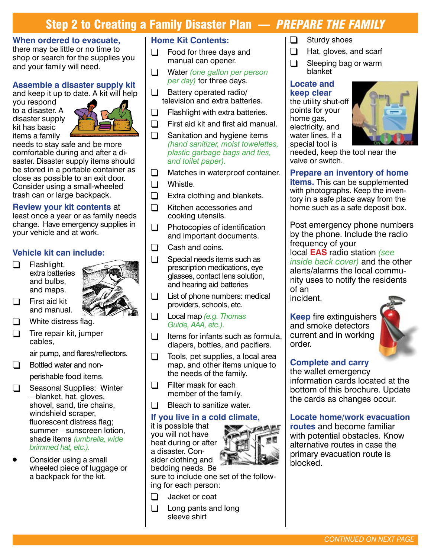### Step 2 to Creating a Family Disaster Plan — *PREPARE THE FAMILY*

#### **When ordered to evacuate,**

there may be little or no time to shop or search for the supplies you and your family will need.

#### **Assemble a disaster supply kit**

and keep it up to date. A kit will help

you respond to a disaster. A disaster supply kit has basic items a family



needs to stay safe and be more comfortable during and after a disaster. Disaster supply items should be stored in a portable container as close as possible to an exit door. Consider using a small-wheeled trash can or large backpack.

#### **Review your kit contents** at

least once a year or as family needs change. Have emergency supplies in your vehicle and at work.

#### **Vehicle kit can include:**

 $\Box$  Flashlight, extra batteries and bulbs, and maps.



- First aid kit and manual.
- White distress flag.
- $\Box$  Tire repair kit, jumper cables,

 air pump, and flares/reflectors.

 $\Box$  Bottled water and non-

 perishable food items.

- $\Box$  Seasonal Supplies: Winter – blanket, hat, gloves, shovel, sand, tire chains, windshield scraper, fluorescent distress flag; summer – sunscreen lotion, shade items *(umbrella, wide brimmed hat, etc.).*
- Consider using a small wheeled piece of luggage or a backpack for the kit.

### **Home Kit Contents:**

- $\Box$  Food for three days and manual can opener.
- **Q** Water *(one gallon per person per day)* for three days.
- $\Box$  Battery operated radio/ television and extra batteries.
- $\Box$  Flashlight with extra batteries.
- $\Box$  First aid kit and first aid manual.
- $\Box$  Sanitation and hygiene items *(hand sanitizer, moist towelettes, plastic garbage bags and ties, and toilet paper).*
- $\Box$  Matches in waterproof container.
- $\Box$  Whistle.
- $\Box$  Extra clothing and blankets.
- $\Box$  Kitchen accessories and cooking utensils.
- $\Box$  Photocopies of identification and important documents.
- $\Box$  Cash and coins.
- $\Box$  Special needs items such as prescription medications, eye glasses, contact lens solution, and hearing aid batteries
- $\Box$  List of phone numbers: medical providers, schools, etc.
- **q** Local map *(e.g. Thomas Guide, AAA, etc.).*
- $\Box$  Items for infants such as formula, diapers, bottles, and pacifiers.
- $\Box$  Tools, pet supplies, a local area map, and other items unique to the needs of the family.
- $\Box$  Filter mask for each member of the family.
- $\Box$  Bleach to sanitize water.

#### **If you live in a cold climate,**

it is possible that you will not have heat during or after a disaster. Consider clothing and bedding needs. Be



sure to include one set of the following for each person:

- $\Box$  Jacket or coat
- $\Box$  Long pants and long sleeve shirt
- $\Box$  Sturdy shoes
- $\Box$  Hat, gloves, and scarf
- $\Box$  Sleeping bag or warm blanket

#### **Locate and keep clear**

the utility shut-off points for your home gas, electricity, and water lines. If a special tool is



needed, keep the tool near the valve or switch.

### **Prepare an inventory of home**

**items.** This can be supplemented with photographs. Keep the inventory in a safe place away from the home such as a safe deposit box.

Post emergency phone numbers by the phone. Include the radio frequency of your local **EAS** radio station *(see inside back cover)* and the other alerts/alarms the local community uses to notify the residents of an

incident.

**Keep** fire extinguishers and smoke detectors current and in working order.



### **Complete and carry**

the wallet emergency information cards located at the bottom of this brochure. Update the cards as changes occur.

### **Locate home/work evacuation**

**routes** and become familiar with potential obstacles. Know alternative routes in case the primary evacuation route is blocked.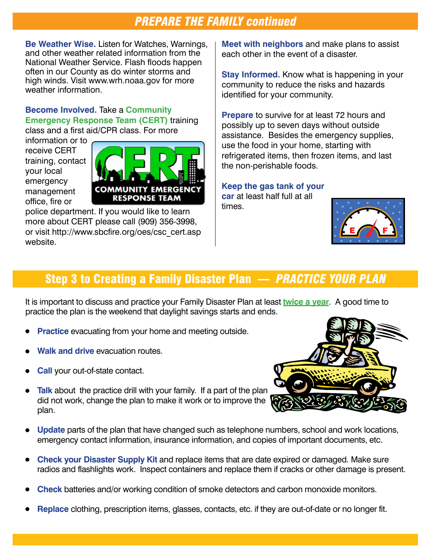### *PREPARE THE FAMILY continued*

**Be Weather Wise.** Listen for Watches, Warnings, and other weather related information from the National Weather Service. Flash floods happen often in our County as do winter storms and high winds. Visit www.wrh.noaa.gov for more weather information.

**Become Involved.** Take a **Community Emergency Response Team (CERT)** training class and a first aid/CPR class. For more

information or to receive CERT training, contact your local emergency management office, fire or



police department. If you would like to learn more about CERT please call (909) 356-3998, or visit http://www.sbcfire.org/oes/csc\_cert.asp website.

**Meet with neighbors** and make plans to assist each other in the event of a disaster.

**Stay Informed.** Know what is happening in your community to reduce the risks and hazards identified for your community.

**Prepare** to survive for at least 72 hours and possibly up to seven days without outside assistance. Besides the emergency supplies, use the food in your home, starting with refrigerated items, then frozen items, and last the non-perishable foods.

**Keep the gas tank of your car** at least half full at all times.



### Step 3 to Creating a Family Disaster Plan — *PRACTICE YOUR PLAN*

It is important to discuss and practice your Family Disaster Plan at least **twice a year**. A good time to practice the plan is the weekend that daylight savings starts and ends.

- **Practice** evacuating from your home and meeting outside.
- **Walk and drive** evacuation routes.
- **Call** your out-of-state contact.
	- **Talk** about the practice drill with your family. If a part of the plan did not work, change the plan to make it work or to improve the plan.
- <sup>l</sup> **Update** parts of the plan that have changed such as telephone numbers, school and work locations, emergency contact information, insurance information, and copies of important documents, etc.
- <sup>l</sup> **Check your Disaster Supply Kit** and replace items that are date expired or damaged. Make sure radios and flashlights work. Inspect containers and replace them if cracks or other damage is present.
- **Check** batteries and/or working condition of smoke detectors and carbon monoxide monitors.
- <sup>l</sup> **Replace** clothing, prescription items, glasses, contacts, etc. if they are out-of-date or no longer fit.

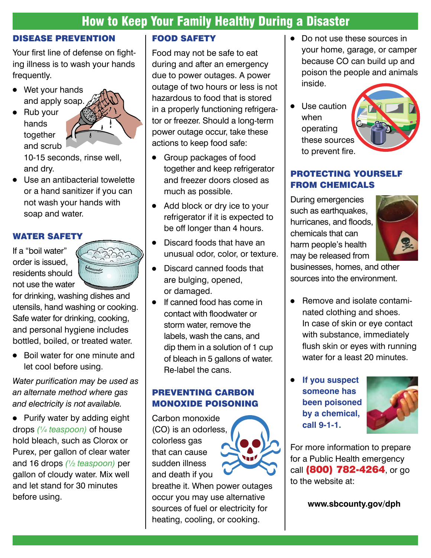### How to Keep Your Family Healthy During a Disaster

### DISEASE PREVENTION

Your first line of defense on fighting illness is to wash your hands frequently.

- $\bullet$  Wet your hands and apply soap.
- $\bullet$  Rub your hands together and scrub



 10-15 seconds, rinse well, and dry.

 $\bullet$  Use an antibacterial towelette or a hand sanitizer if you can not wash your hands with soap and water.

### WATER SAFETY

If a "boil water" order is issued, residents should not use the water



for drinking, washing dishes and utensils, hand washing or cooking. Safe water for drinking, cooking, and personal hygiene includes bottled, boiled, or treated water.

• Boil water for one minute and let cool before using.

*Water purification may be used as an alternate method where gas and electricity is not available.*

• Purify water by adding eight drops *(¼ teaspoon)* of house hold bleach, such as Clorox or Purex, per gallon of clear water and 16 drops *(½ teaspoon)* per gallon of cloudy water. Mix well and let stand for 30 minutes before using.

### FOOD SAFETY

Food may not be safe to eat during and after an emergency due to power outages. A power outage of two hours or less is not hazardous to food that is stored in a properly functioning refrigerator or freezer. Should a long-term power outage occur, take these actions to keep food safe:

- Group packages of food together and keep refrigerator and freezer doors closed as much as possible.
- $\bullet$  Add block or dry ice to your refrigerator if it is expected to be off longer than 4 hours.
- $\bullet$  Discard foods that have an unusual odor, color, or texture.
- Discard canned foods that are bulging, opened, or damaged.
- $\bullet$  If canned food has come in contact with floodwater or storm water, remove the labels, wash the cans, and dip them in a solution of 1 cup of bleach in 5 gallons of water. Re-label the cans.

### PREVENTING CARBON MONOXIDE POISONING

Carbon monoxide (CO) is an odorless, colorless gas that can cause sudden illness and death if you



breathe it. When power outages occur you may use alternative sources of fuel or electricity for heating, cooling, or cooking.

- Do not use these sources in your home, garage, or camper because CO can build up and poison the people and animals inside.
- Use caution when operating these sources to prevent fire.

### PROTECTING YOURSELF FROM CHEMICALS

During emergencies such as earthquakes, hurricanes, and floods, chemicals that can harm people's health may be released from



businesses, homes, and other sources into the environment.

- Remove and isolate contami- nated clothing and shoes. In case of skin or eye contact with substance, immediately flush skin or eyes with running water for a least 20 minutes.
- **If you suspect someone has been poisoned by a chemical, call 9-1-1.**



For more information to prepare for a Public Health emergency call (800) 782-4264, or go to the website at:

**www.sbcounty.gov/dph**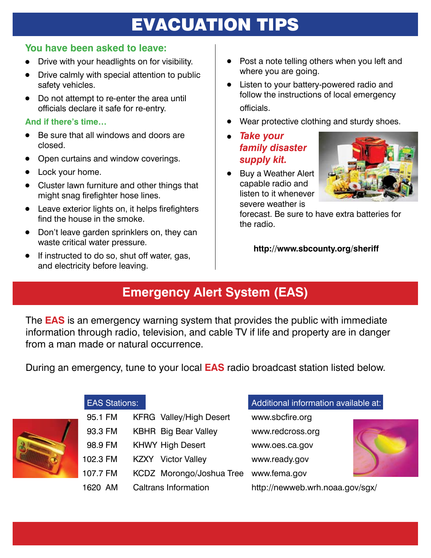# EVACUATION TIPS

### **You have been asked to leave:**

- Drive with your headlights on for visibility.
- Drive calmly with special attention to public safety vehicles.
- Do not attempt to re-enter the area until officials declare it safe for re-entry.

### **And if there's time…**

- Be sure that all windows and doors are closed.
- Open curtains and window coverings.
- Lock your home.
- $\bullet$  Cluster lawn furniture and other things that might snag firefighter hose lines.
- $\bullet$  Leave exterior lights on, it helps firefighters find the house in the smoke.
- Don't leave garden sprinklers on, they can waste critical water pressure.
- If instructed to do so, shut off water, gas, and electricity before leaving.
- $\bullet$  Post a note telling others when you left and where you are going.
- Listen to your battery-powered radio and follow the instructions of local emergency officials.
- Wear protective clothing and sturdy shoes.
- <sup>l</sup> *Take your family disaster supply kit.*
- Buy a Weather Alert capable radio and listen to it whenever severe weather is



 forecast. Be sure to have extra batteries for the radio.

**http://www.sbcounty.org/sheriff**

# **Emergency Alert System (EAS)**

The **EAS** is an emergency warning system that provides the public with immediate information through radio, television, and cable TV if life and property are in danger from a man made or natural occurrence.

During an emergency, tune to your local **EAS** radio broadcast station listed below.



### EAS Stations:

| 95.1 FM  | <b>KFRG</b> Valley/High Desert |
|----------|--------------------------------|
| 93.3 FM  | <b>KBHR</b> Big Bear Valley    |
| 98.9 FM  | <b>KHWY High Desert</b>        |
| 102.3 FM | <b>KZXY</b> Victor Valley      |
| 107.7 FM | KCDZ Morongo/Joshua Tree       |
| 1620 AM  | Caltrans Information           |
|          |                                |

### Additional information available at:

www.sbcfire.org www.redcross.org www.oes.ca.gov www.ready.gov www.fema.gov



http://newweb.wrh.noaa.gov/sgx/